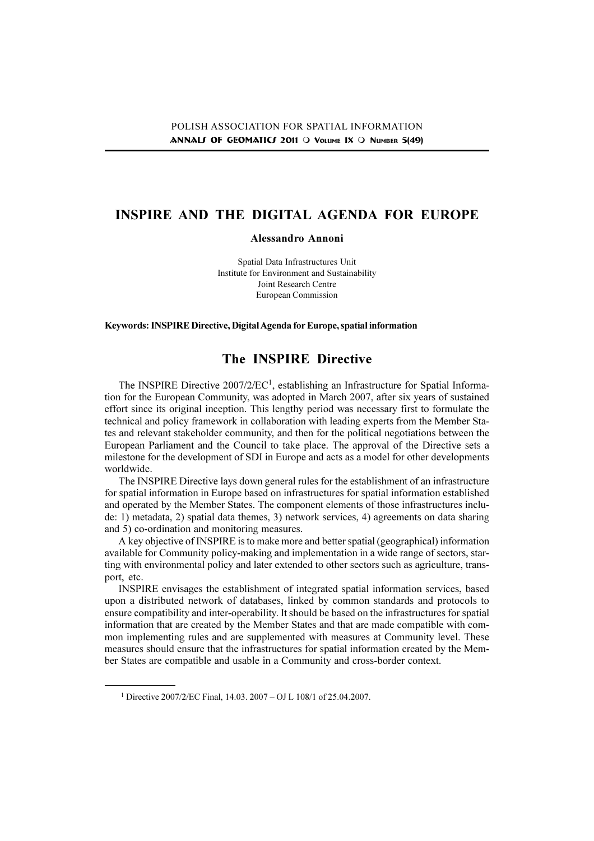# INSPIRE AND THE DIGITAL AGENDA FOR EUROPE

# Alessandro Annoni

Spatial Data Infrastructures Unit Institute for Environment and Sustainability Joint Research Centre European Commission

Keywords: INSPIRE Directive, Digital Agenda for Europe, spatial information

# The INSPIRE Directive

The INSPIRE Directive 2007/2/EC<sup>1</sup>, establishing an Infrastructure for Spatial Information for the European Community, was adopted in March 2007, after six years of sustained effort since its original inception. This lengthy period was necessary first to formulate the technical and policy framework in collaboration with leading experts from the Member States and relevant stakeholder community, and then for the political negotiations between the European Parliament and the Council to take place. The approval of the Directive sets a milestone for the development of SDI in Europe and acts as a model for other developments worldwide.

The INSPIRE Directive lays down general rules for the establishment of an infrastructure for spatial information in Europe based on infrastructures for spatial information established and operated by the Member States. The component elements of those infrastructures include: 1) metadata, 2) spatial data themes, 3) network services, 4) agreements on data sharing and 5) co-ordination and monitoring measures.

A key objective of INSPIRE is to make more and better spatial (geographical) information available for Community policy-making and implementation in a wide range of sectors, starting with environmental policy and later extended to other sectors such as agriculture, transport, etc.

INSPIRE envisages the establishment of integrated spatial information services, based upon a distributed network of databases, linked by common standards and protocols to ensure compatibility and inter-operability. It should be based on the infrastructures for spatial information that are created by the Member States and that are made compatible with common implementing rules and are supplemented with measures at Community level. These measures should ensure that the infrastructures for spatial information created by the Member States are compatible and usable in a Community and cross-border context.

<sup>&</sup>lt;sup>1</sup> Directive 2007/2/EC Final, 14.03, 2007 – OJ L 108/1 of 25.04.2007.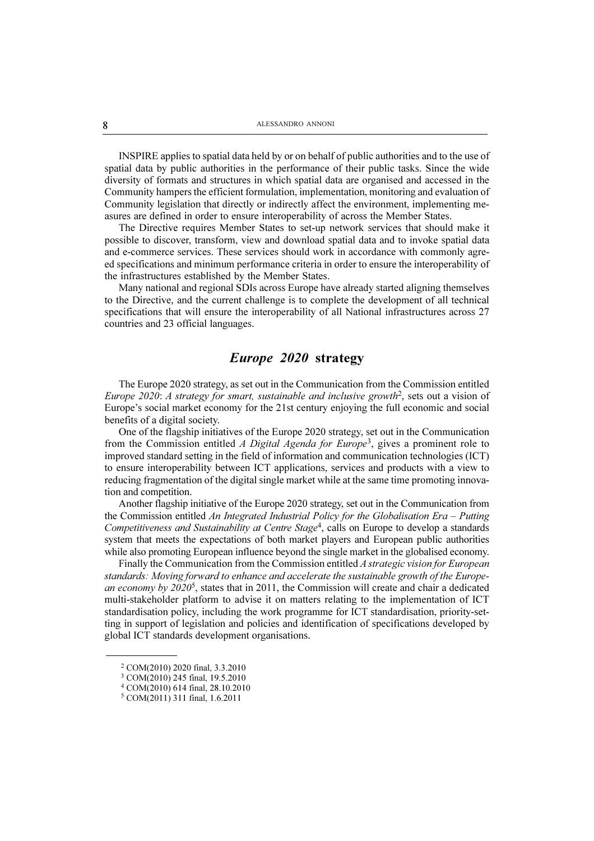INSPIRE applies to spatial data held by or on behalf of public authorities and to the use of spatial data by public authorities in the performance of their public tasks. Since the wide diversity of formats and structures in which spatial data are organised and accessed in the Community hampers the efficient formulation, implementation, monitoring and evaluation of Community legislation that directly or indirectly affect the environment, implementing measures are defined in order to ensure interoperability of across the Member States.

The Directive requires Member States to set-up network services that should make it possible to discover, transform, view and download spatial data and to invoke spatial data and e-commerce services. These services should work in accordance with commonly agreed specifications and minimum performance criteria in order to ensure the interoperability of the infrastructures established by the Member States.

Many national and regional SDIs across Europe have already started aligning themselves to the Directive, and the current challenge is to complete the development of all technical specifications that will ensure the interoperability of all National infrastructures across 27 countries and 23 official languages.

# Europe 2020 strategy

The Europe 2020 strategy, as set out in the Communication from the Commission entitled Europe 2020: A strategy for smart, sustainable and inclusive growth<sup>2</sup>, sets out a vision of Europe's social market economy for the 21st century enjoying the full economic and social benefits of a digital society.

One of the flagship initiatives of the Europe 2020 strategy, set out in the Communication from the Commission entitled A Digital Agenda for Europe<sup>3</sup>, gives a prominent role to improved standard setting in the field of information and communication technologies (ICT) to ensure interoperability between ICT applications, services and products with a view to reducing fragmentation of the digital single market while at the same time promoting innovation and competition.

Another flagship initiative of the Europe 2020 strategy, set out in the Communication from the Commission entitled An Integrated Industrial Policy for the Globalisation Era – Putting Competitiveness and Sustainability at Centre Stage<sup>4</sup>, calls on Europe to develop a standards system that meets the expectations of both market players and European public authorities while also promoting European influence beyond the single market in the globalised economy.

Finally the Communication from the Commission entitled A strategic vision for European standards: Moving forward to enhance and accelerate the sustainable growth of the European economy by  $2020^5$ , states that in 2011, the Commission will create and chair a dedicated multi-stakeholder platform to advise it on matters relating to the implementation of ICT standardisation policy, including the work programme for ICT standardisation, priority-setting in support of legislation and policies and identification of specifications developed by global ICT standards development organisations.

<sup>2</sup> COM(2010) 2020 final, 3.3.2010

<sup>3</sup> COM(2010) 245 final, 19.5.2010

<sup>4</sup> COM(2010) 614 final, 28.10.2010

<sup>5</sup> COM(2011) 311 final, 1.6.2011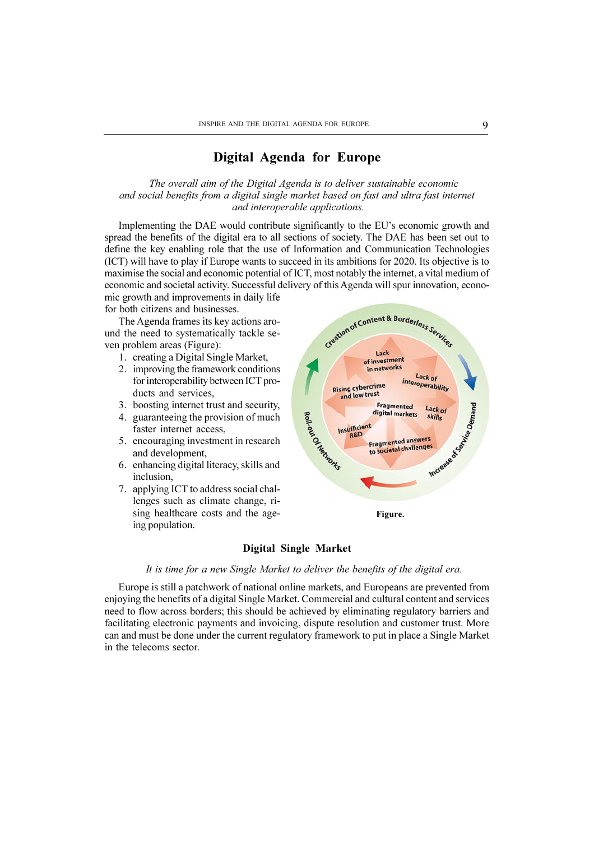# Digital Agenda for Europe

The overall aim of the Digital Agenda is to deliver sustainable economic and social benefits from a digital single market based on fast and ultra fast internet and interoperable applications.

Implementing the DAE would contribute significantly to the EU's economic growth and spread the benefits of the digital era to all sections of society. The DAE has been set out to define the key enabling role that the use of Information and Communication Technologies (ICT) will have to play if Europe wants to succeed in its ambitions for 2020. Its objective is to maximise the social and economic potential of ICT, most notably the internet, a vital medium of economic and societal activity. Successful delivery of this Agenda will spur innovation, economic growth and improvements in daily life

for both citizens and businesses.

The Agenda frames its key actions around the need to systematically tackle seven problem areas (Figure):

- 1. creating a Digital Single Market,
- 2. improving the framework conditions for interoperability between ICT products and services,
- 3. boosting internet trust and security,
- 4. guaranteeing the provision of much faster internet access,
- 5. encouraging investment in research and development,
- 6. enhancing digital literacy, skills and inclusion,
- 7. applying ICT to address social challenges such as climate change, rising healthcare costs and the ageing population.



#### Digital Single Market

It is time for a new Single Market to deliver the benefits of the digital era.

Europe is still a patchwork of national online markets, and Europeans are prevented from enjoying the benefits of a digital Single Market. Commercial and cultural content and services need to flow across borders; this should be achieved by eliminating regulatory barriers and facilitating electronic payments and invoicing, dispute resolution and customer trust. More can and must be done under the current regulatory framework to put in place a Single Market in the telecoms sector.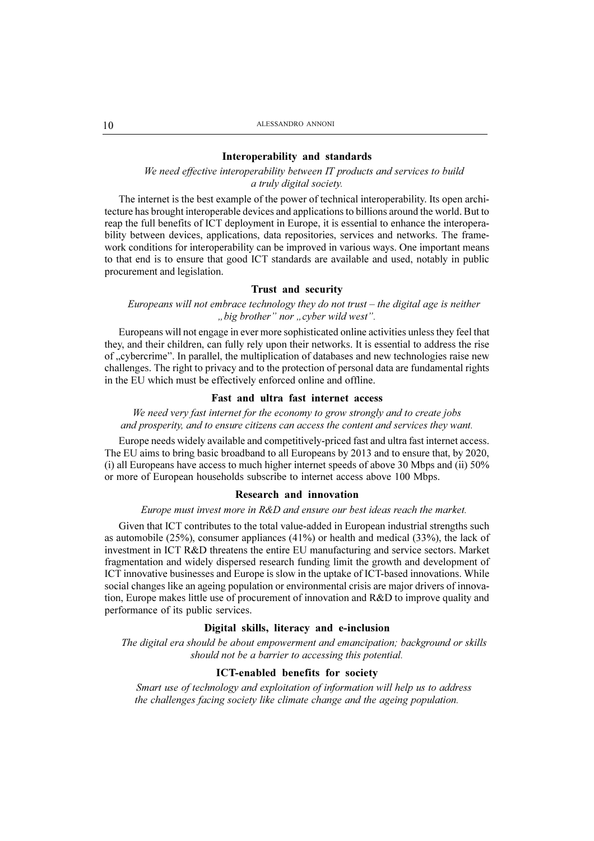#### Interoperability and standards

We need effective interoperability between IT products and services to build a truly digital society.

The internet is the best example of the power of technical interoperability. Its open architecture has brought interoperable devices and applications to billions around the world. But to reap the full benefits of ICT deployment in Europe, it is essential to enhance the interoperability between devices, applications, data repositories, services and networks. The framework conditions for interoperability can be improved in various ways. One important means to that end is to ensure that good ICT standards are available and used, notably in public procurement and legislation.

## Trust and security

## Europeans will not embrace technology they do not trust  $-$  the digital age is neither ..big brother" nor ..cyber wild west".

Europeans will not engage in ever more sophisticated online activities unless they feel that they, and their children, can fully rely upon their networks. It is essential to address the rise of "cybercrime". In parallel, the multiplication of databases and new technologies raise new challenges. The right to privacy and to the protection of personal data are fundamental rights in the EU which must be effectively enforced online and offline.

## Fast and ultra fast internet access

# We need very fast internet for the economy to grow strongly and to create jobs and prosperity, and to ensure citizens can access the content and services they want.

Europe needs widely available and competitively-priced fast and ultra fast internet access. The EU aims to bring basic broadband to all Europeans by 2013 and to ensure that, by 2020, (i) all Europeans have access to much higher internet speeds of above 30 Mbps and (ii) 50% or more of European households subscribe to internet access above 100 Mbps.

#### Research and innovation

#### Europe must invest more in R&D and ensure our best ideas reach the market.

Given that ICT contributes to the total value-added in European industrial strengths such as automobile (25%), consumer appliances (41%) or health and medical (33%), the lack of investment in ICT R&D threatens the entire EU manufacturing and service sectors. Market fragmentation and widely dispersed research funding limit the growth and development of ICT innovative businesses and Europe is slow in the uptake of ICT-based innovations. While social changes like an ageing population or environmental crisis are major drivers of innovation, Europe makes little use of procurement of innovation and R&D to improve quality and performance of its public services.

### Digital skills, literacy and e-inclusion

The digital era should be about empowerment and emancipation; background or skills should not be a barrier to accessing this potential.

# ICT-enabled benefits for society

Smart use of technology and exploitation of information will help us to address the challenges facing society like climate change and the ageing population.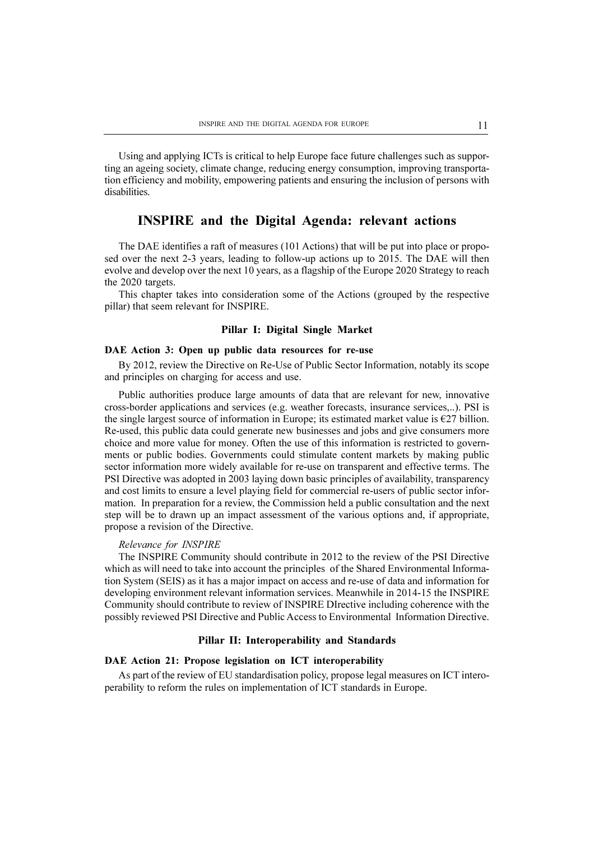Using and applying ICTs is critical to help Europe face future challenges such as supporting an ageing society, climate change, reducing energy consumption, improving transportation efficiency and mobility, empowering patients and ensuring the inclusion of persons with disabilities.

# INSPIRE and the Digital Agenda: relevant actions

The DAE identifies a raft of measures (101 Actions) that will be put into place or proposed over the next 2-3 years, leading to follow-up actions up to 2015. The DAE will then evolve and develop over the next 10 years, as a flagship of the Europe 2020 Strategy to reach the 2020 targets.

This chapter takes into consideration some of the Actions (grouped by the respective pillar) that seem relevant for INSPIRE.

### Pillar I: Digital Single Market

#### DAE Action 3: Open up public data resources for re-use

By 2012, review the Directive on Re-Use of Public Sector Information, notably its scope and principles on charging for access and use.

Public authorities produce large amounts of data that are relevant for new, innovative cross-border applications and services (e.g. weather forecasts, insurance services,..). PSI is the single largest source of information in Europe; its estimated market value is  $\epsilon$ 27 billion. Re-used, this public data could generate new businesses and jobs and give consumers more choice and more value for money. Often the use of this information is restricted to governments or public bodies. Governments could stimulate content markets by making public sector information more widely available for re-use on transparent and effective terms. The PSI Directive was adopted in 2003 laying down basic principles of availability, transparency and cost limits to ensure a level playing field for commercial re-users of public sector information. In preparation for a review, the Commission held a public consultation and the next step will be to drawn up an impact assessment of the various options and, if appropriate, propose a revision of the Directive.

#### Relevance for INSPIRE

The INSPIRE Community should contribute in 2012 to the review of the PSI Directive which as will need to take into account the principles of the Shared Environmental Information System (SEIS) as it has a major impact on access and re-use of data and information for developing environment relevant information services. Meanwhile in 2014-15 the INSPIRE Community should contribute to review of INSPIRE DIrective including coherence with the possibly reviewed PSI Directive and Public Access to Environmental Information Directive.

#### Pillar II: Interoperability and Standards

### DAE Action 21: Propose legislation on ICT interoperability

As part of the review of EU standardisation policy, propose legal measures on ICT interoperability to reform the rules on implementation of ICT standards in Europe.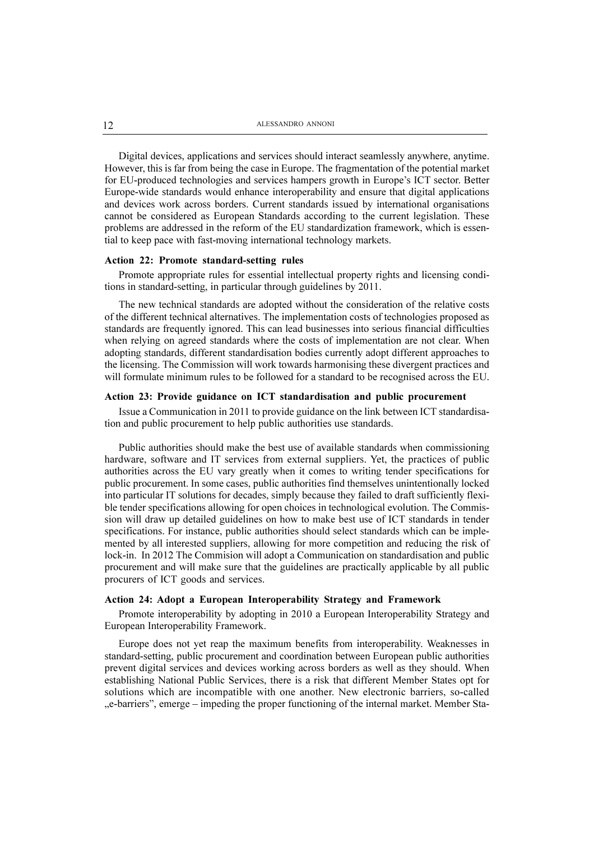Digital devices, applications and services should interact seamlessly anywhere, anytime. However, this is far from being the case in Europe. The fragmentation of the potential market for EU-produced technologies and services hampers growth in Europe's ICT sector. Better Europe-wide standards would enhance interoperability and ensure that digital applications and devices work across borders. Current standards issued by international organisations cannot be considered as European Standards according to the current legislation. These problems are addressed in the reform of the EU standardization framework, which is essential to keep pace with fast-moving international technology markets.

#### Action 22: Promote standard-setting rules

Promote appropriate rules for essential intellectual property rights and licensing conditions in standard-setting, in particular through guidelines by 2011.

The new technical standards are adopted without the consideration of the relative costs of the different technical alternatives. The implementation costs of technologies proposed as standards are frequently ignored. This can lead businesses into serious financial difficulties when relying on agreed standards where the costs of implementation are not clear. When adopting standards, different standardisation bodies currently adopt different approaches to the licensing. The Commission will work towards harmonising these divergent practices and will formulate minimum rules to be followed for a standard to be recognised across the EU.

#### Action 23: Provide guidance on ICT standardisation and public procurement

Issue a Communication in 2011 to provide guidance on the link between ICT standardisation and public procurement to help public authorities use standards.

Public authorities should make the best use of available standards when commissioning hardware, software and IT services from external suppliers. Yet, the practices of public authorities across the EU vary greatly when it comes to writing tender specifications for public procurement. In some cases, public authorities find themselves unintentionally locked into particular IT solutions for decades, simply because they failed to draft sufficiently flexible tender specifications allowing for open choices in technological evolution. The Commission will draw up detailed guidelines on how to make best use of ICT standards in tender specifications. For instance, public authorities should select standards which can be implemented by all interested suppliers, allowing for more competition and reducing the risk of lock-in. In 2012 The Commision will adopt a Communication on standardisation and public procurement and will make sure that the guidelines are practically applicable by all public procurers of ICT goods and services.

#### Action 24: Adopt a European Interoperability Strategy and Framework

Promote interoperability by adopting in 2010 a European Interoperability Strategy and European Interoperability Framework.

Europe does not yet reap the maximum benefits from interoperability. Weaknesses in standard-setting, public procurement and coordination between European public authorities prevent digital services and devices working across borders as well as they should. When establishing National Public Services, there is a risk that different Member States opt for solutions which are incompatible with one another. New electronic barriers, so-called "e-barriers", emerge – impeding the proper functioning of the internal market. Member Sta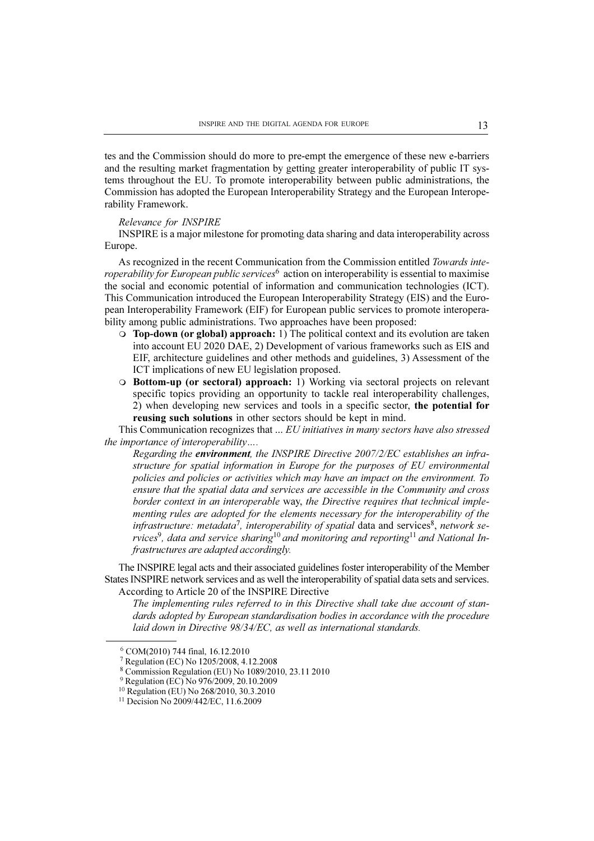tes and the Commission should do more to pre-empt the emergence of these new e-barriers and the resulting market fragmentation by getting greater interoperability of public IT systems throughout the EU. To promote interoperability between public administrations, the Commission has adopted the European Interoperability Strategy and the European Interoperability Framework.

#### Relevance for INSPIRE

INSPIRE is a major milestone for promoting data sharing and data interoperability across Europe.

As recognized in the recent Communication from the Commission entitled Towards inte*roperability for European public services*<sup> $6$ </sup> action on interoperability is essential to maximise the social and economic potential of information and communication technologies (ICT). This Communication introduced the European Interoperability Strategy (EIS) and the European Interoperability Framework (EIF) for European public services to promote interoperability among public administrations. Two approaches have been proposed:

- $\circ$  Top-down (or global) approach: 1) The political context and its evolution are taken into account EU 2020 DAE, 2) Development of various frameworks such as EIS and EIF, architecture guidelines and other methods and guidelines, 3) Assessment of the ICT implications of new EU legislation proposed.
- **O** Bottom-up (or sectoral) approach: 1) Working via sectoral projects on relevant specific topics providing an opportunity to tackle real interoperability challenges, 2) when developing new services and tools in a specific sector, the potential for reusing such solutions in other sectors should be kept in mind.

This Communication recognizes that ... EU initiatives in many sectors have also stressed the importance of interoperability.

Regarding the environment, the INSPIRE Directive 2007/2/EC establishes an infrastructure for spatial information in Europe for the purposes of EU environmental policies and policies or activities which may have an impact on the environment. To ensure that the spatial data and services are accessible in the Community and cross border context in an interoperable way, the Directive requires that technical implementing rules are adopted for the elements necessary for the interoperability of the infrastructure: metadata<sup>7</sup>, interoperability of spatial data and services<sup>8</sup>, network se $rvices<sup>9</sup>$ , data and service sharing<sup>10</sup> and monitoring and reporting<sup>11</sup> and National Infrastructures are adapted accordingly.

The INSPIRE legal acts and their associated guidelines foster interoperability of the Member States INSPIRE network services and as well the interoperability of spatial data sets and services. According to Article 20 of the INSPIRE Directive

The implementing rules referred to in this Directive shall take due account of standards adopted by European standardisation bodies in accordance with the procedure laid down in Directive 98/34/EC, as well as international standards.

<sup>6</sup> COM(2010) 744 final, 16.12.2010

<sup>7</sup> Regulation (EC) No 1205/2008, 4.12.2008

<sup>8</sup> Commission Regulation (EU) No 1089/2010, 23.11 2010

<sup>9</sup> Regulation (EC) No 976/2009, 20.10.2009

<sup>10</sup> Regulation (EU) No 268/2010, 30.3.2010

<sup>&</sup>lt;sup>11</sup> Decision No 2009/442/EC, 11.6.2009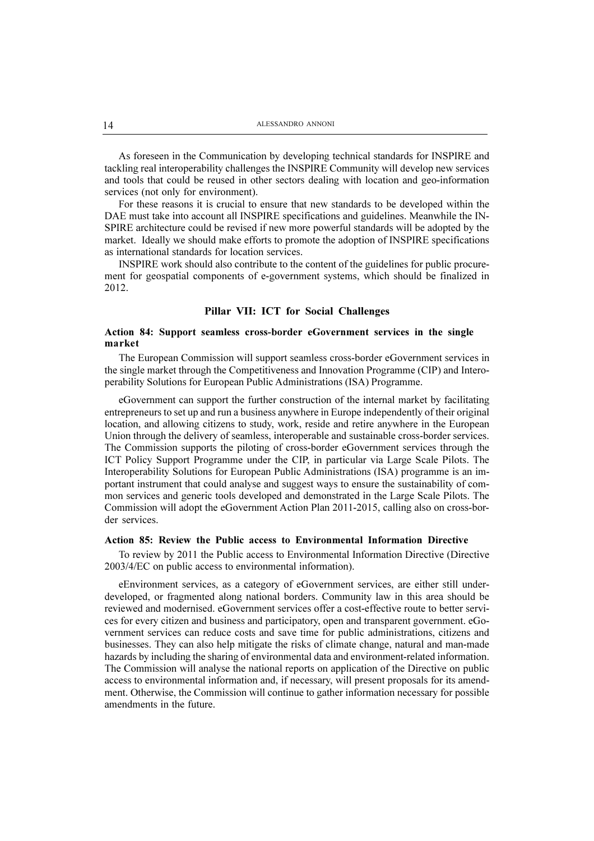As foreseen in the Communication by developing technical standards for INSPIRE and tackling real interoperability challenges the INSPIRE Community will develop new services and tools that could be reused in other sectors dealing with location and geo-information services (not only for environment).

For these reasons it is crucial to ensure that new standards to be developed within the DAE must take into account all INSPIRE specifications and guidelines. Meanwhile the IN-SPIRE architecture could be revised if new more powerful standards will be adopted by the market. Ideally we should make efforts to promote the adoption of INSPIRE specifications as international standards for location services.

INSPIRE work should also contribute to the content of the guidelines for public procurement for geospatial components of e-government systems, which should be finalized in 2012.

# Pillar VII: ICT for Social Challenges

### Action 84: Support seamless cross-border eGovernment services in the single market

The European Commission will support seamless cross-border eGovernment services in the single market through the Competitiveness and Innovation Programme (CIP) and Interoperability Solutions for European Public Administrations (ISA) Programme.

eGovernment can support the further construction of the internal market by facilitating entrepreneurs to set up and run a business anywhere in Europe independently of their original location, and allowing citizens to study, work, reside and retire anywhere in the European Union through the delivery of seamless, interoperable and sustainable cross-border services. The Commission supports the piloting of cross-border eGovernment services through the ICT Policy Support Programme under the CIP, in particular via Large Scale Pilots. The Interoperability Solutions for European Public Administrations (ISA) programme is an important instrument that could analyse and suggest ways to ensure the sustainability of common services and generic tools developed and demonstrated in the Large Scale Pilots. The Commission will adopt the eGovernment Action Plan 2011-2015, calling also on cross-border services.

#### Action 85: Review the Public access to Environmental Information Directive

To review by 2011 the Public access to Environmental Information Directive (Directive 2003/4/EC on public access to environmental information).

eEnvironment services, as a category of eGovernment services, are either still underdeveloped, or fragmented along national borders. Community law in this area should be reviewed and modernised. eGovernment services offer a cost-effective route to better services for every citizen and business and participatory, open and transparent government. eGovernment services can reduce costs and save time for public administrations, citizens and businesses. They can also help mitigate the risks of climate change, natural and man-made hazards by including the sharing of environmental data and environment-related information. The Commission will analyse the national reports on application of the Directive on public access to environmental information and, if necessary, will present proposals for its amendment. Otherwise, the Commission will continue to gather information necessary for possible amendments in the future.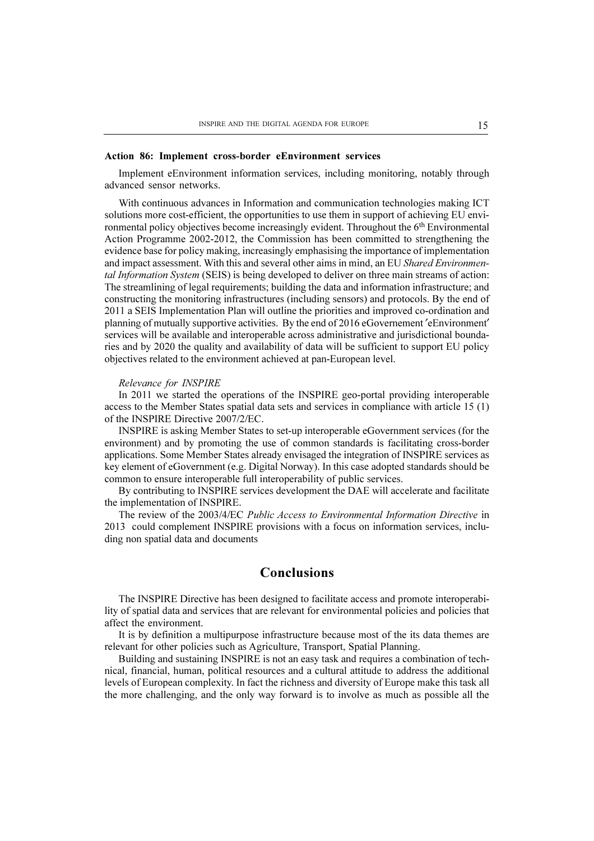#### Action 86: Implement cross-border eEnvironment services

Implement eEnvironment information services, including monitoring, notably through advanced sensor networks.

With continuous advances in Information and communication technologies making ICT solutions more cost-efficient, the opportunities to use them in support of achieving EU environmental policy objectives become increasingly evident. Throughout the  $6<sup>th</sup>$  Environmental Action Programme 2002-2012, the Commission has been committed to strengthening the evidence base for policy making, increasingly emphasising the importance of implementation and impact assessment. With this and several other aims in mind, an EU Shared Environmental Information System (SEIS) is being developed to deliver on three main streams of action: The streamlining of legal requirements; building the data and information infrastructure; and constructing the monitoring infrastructures (including sensors) and protocols. By the end of 2011 a SEIS Implementation Plan will outline the priorities and improved co-ordination and planning of mutually supportive activities. By the end of 2016 eGovernement  $\ell$  eEnvironment' services will be available and interoperable across administrative and jurisdictional boundaries and by 2020 the quality and availability of data will be sufficient to support EU policy objectives related to the environment achieved at pan-European level.

#### Relevance for INSPIRE

In 2011 we started the operations of the INSPIRE geo-portal providing interoperable access to the Member States spatial data sets and services in compliance with article 15 (1) of the INSPIRE Directive 2007/2/EC.

INSPIRE is asking Member States to set-up interoperable eGovernment services (for the environment) and by promoting the use of common standards is facilitating cross-border applications. Some Member States already envisaged the integration of INSPIRE services as key element of eGovernment (e.g. Digital Norway). In this case adopted standards should be common to ensure interoperable full interoperability of public services.

By contributing to INSPIRE services development the DAE will accelerate and facilitate the implementation of INSPIRE.

The review of the 2003/4/EC Public Access to Environmental Information Directive in 2013 could complement INSPIRE provisions with a focus on information services, including non spatial data and documents

# Conclusions

The INSPIRE Directive has been designed to facilitate access and promote interoperability of spatial data and services that are relevant for environmental policies and policies that affect the environment.

It is by definition a multipurpose infrastructure because most of the its data themes are relevant for other policies such as Agriculture, Transport, Spatial Planning.

Building and sustaining INSPIRE is not an easy task and requires a combination of technical, financial, human, political resources and a cultural attitude to address the additional levels of European complexity. In fact the richness and diversity of Europe make this task all the more challenging, and the only way forward is to involve as much as possible all the